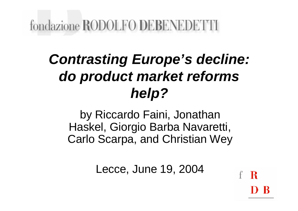fondazione RODOLFO DEBENEDETTI

## *Contrasting Europe's decline: do product market reforms help?*

by Riccardo Faini, Jonathan Haskel, Giorgio Barba Navaretti, Carlo Scarpa, and Christian Wey

Lecce, June 19, 2004

R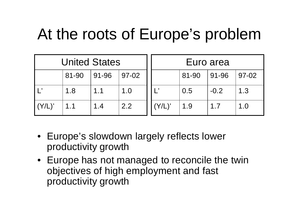## At the roots of Europe's problem

| <b>United States</b> |       |                     |     |           |       | Euro area          |     |
|----------------------|-------|---------------------|-----|-----------|-------|--------------------|-----|
|                      | 81-90 | $ 91-96 $ $ 97-02 $ |     |           | 81-90 | $ 91-96 $ $ 97-02$ |     |
|                      | 1.8   | 1.1                 | 1.0 |           | 0.5   | $-0.2$             | 1.3 |
| $(Y/L)$ '            | 1.1   | 1.4                 | 2.2 | $(Y/L)$ ' | 1.9   |                    | 1.0 |

- Europe's slowdown largely reflects lower productivity growth
- Europe has not managed to reconcile the twin objectives of high employment and fast productivity growth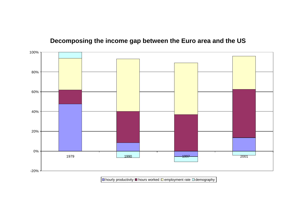#### **Decomposing the income gap between the Euro area and the US**



 $\Box$  hourly productivity  $\Box$  hours worked  $\Box$  employment rate  $\Box$  demography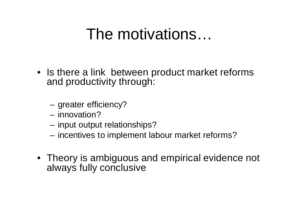## The motivations…

- Is there a link between product market reforms and productivity through:
	- greater efficiency?
	- innovation?
	- input output relationships?
	- incentives to implement labour market reforms?
- Theory is ambiguous and empirical evidence not always fully conclusive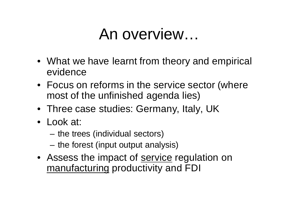## An overview…

- What we have learnt from theory and empirical evidence
- Focus on reforms in the service sector (where most of the unfinished agenda lies)
- Three case studies: Germany, Italy, UK
- Look at:
	- the trees (individual sectors)
	- the forest (input output analysis)
- Assess the impact of service regulation on manufacturing productivity and FDI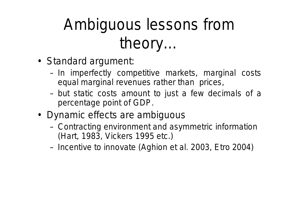## Ambiguous lessons from theory…

- Standard argument:
	- In imperfectly competitive markets, marginal costs equal marginal revenues rather than prices,
	- but static costs amount to just a few decimals of a percentage point of GDP.
- Dynamic effects are ambiguous
	- Contracting environment and asymmetric information (Hart, 1983, Vickers 1995 etc.)
	- Incentive to innovate (Aghion et al. 2003, Etro 2004)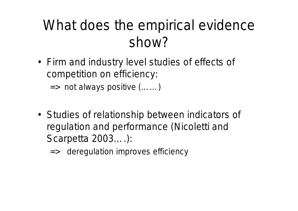### What does the empirical evidence show?

- Firm and industry level studies of effects of competition on efficiency:
	- $\Rightarrow$  not always positive  $(\ldots)$
- Studies of relationship between indicators of regulation and performance (Nicoletti and Scarpetta 2003….):
	- => deregulation improves efficiency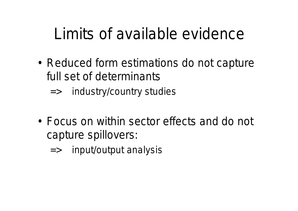## Limits of available evidence

- Reduced form estimations do not capture full set of determinants
	- => industry/country studies
- Focus on within sector effects and do not capture spillovers:
	- => input/output analysis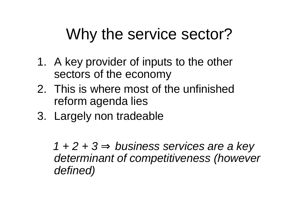## Why the service sector?

- 1. A key provider of inputs to the other sectors of the economy
- 2. This is where most of the unfinished reform agenda lies
- 3. Largely non tradeable

*1 + 2 + 3 Þ business services are a key determinant of competitiveness (however defined)*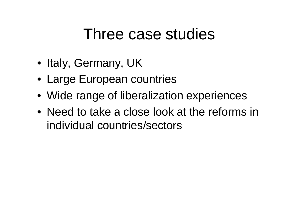## Three case studies

- Italy, Germany, UK
- Large European countries
- Wide range of liberalization experiences
- Need to take a close look at the reforms in individual countries/sectors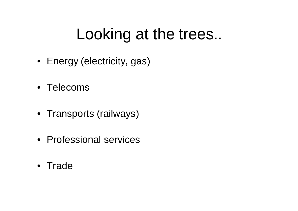## Looking at the trees..

- Energy (electricity, gas)
- Telecoms
- Transports (railways)
- Professional services
- Trade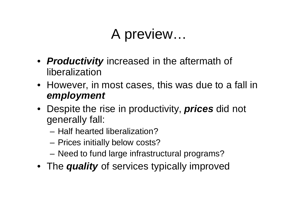#### A preview…

- *Productivity* increased in the aftermath of liberalization
- However, in most cases, this was due to a fall in *employment*
- Despite the rise in productivity, *prices* did not generally fall:
	- Half hearted liberalization?
	- Prices initially below costs?
	- Need to fund large infrastructural programs?
- The *quality* of services typically improved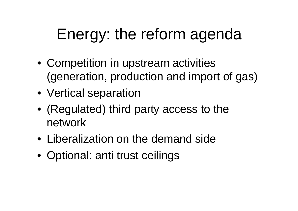## Energy: the reform agenda

- Competition in upstream activities (generation, production and import of gas)
- Vertical separation
- (Regulated) third party access to the network
- Liberalization on the demand side
- Optional: anti trust ceilings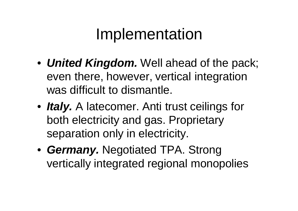## Implementation

- *United Kingdom.* Well ahead of the pack; even there, however, vertical integration was difficult to dismantle.
- *Italy.* A latecomer. Anti trust ceilings for both electricity and gas. Proprietary separation only in electricity.
- *Germany.* Negotiated TPA. Strong vertically integrated regional monopolies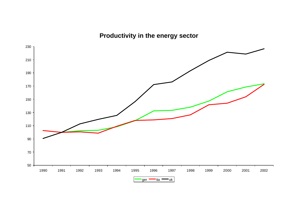#### **Productivity in the energy sector**

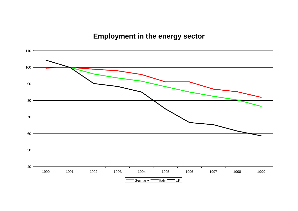#### **Employment in the energy sector**

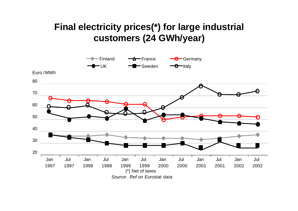#### **Final electricity prices(\*) for large industrial customers (24 GWh/year)**

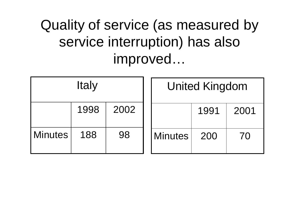### Quality of service (as measured by service interruption) has also improved…

| <b>Italy</b>   |      |      |                | <b>United Kingdom</b> |      |
|----------------|------|------|----------------|-----------------------|------|
|                | 1998 | 2002 |                | 1991                  | 2001 |
| <b>Minutes</b> | 188  | 98   | <b>Minutes</b> | 200                   | 70   |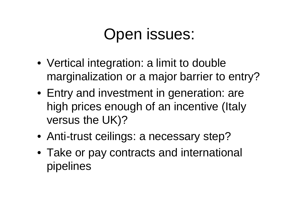## Open issues:

- Vertical integration: a limit to double marginalization or a major barrier to entry?
- Entry and investment in generation: are high prices enough of an incentive (Italy versus the UK)?
- Anti-trust ceilings: a necessary step?
- Take or pay contracts and international pipelines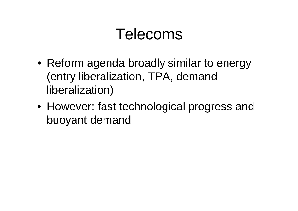## Telecoms

- Reform agenda broadly similar to energy (entry liberalization, TPA, demand liberalization)
- However: fast technological progress and buoyant demand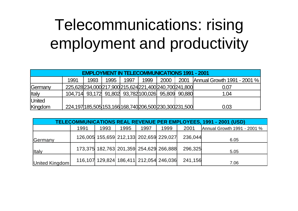## Telecommunications: rising employment and productivity

| <b>EMPLOYMENT IN TELECOMMUNICATIONS 1991 - 2001</b> |                                                         |      |      |      |      |      |      |                                    |  |
|-----------------------------------------------------|---------------------------------------------------------|------|------|------|------|------|------|------------------------------------|--|
|                                                     | 1991                                                    | 1993 | 1995 | 1997 | 1999 | 2000 | 2001 | <b>Annual Growth 1991 - 2001 %</b> |  |
| Germany                                             | 225,628 234,000 217,900 215,624 221,400 240,700 241,800 |      |      |      |      |      |      | 0.07                               |  |
| Italy                                               | 104,714 93,172 91,802 93,782 100,026 95,809 90,880      |      |      |      |      |      |      | 1.04                               |  |
| United                                              |                                                         |      |      |      |      |      |      |                                    |  |
| Kingdom                                             | 224,197 185,505 153,166 168,740 206,500 230,300 231,500 |      |      |      |      |      |      | 0.03                               |  |

| <b>TELECOMMUNICATIONS REAL REVENUE PER EMPLOYEES, 1991 - 2001 (USD)</b> |      |                                         |      |      |      |         |                             |  |  |  |
|-------------------------------------------------------------------------|------|-----------------------------------------|------|------|------|---------|-----------------------------|--|--|--|
|                                                                         | 1991 | 1993                                    | 1995 | 1997 | 1999 | 2001    | Annual Growth 1991 - 2001 % |  |  |  |
| Germany                                                                 |      | 126,005 155,659 212,133 202,659 229,027 |      |      |      | 236,044 | 6.05                        |  |  |  |
| <b>Italy</b>                                                            |      | 173,375 182,763 201,359 254,629 266,888 |      |      |      | 296,325 | 5.05                        |  |  |  |
| United Kingdom                                                          |      | 116,107 129,824 186,411 212,054 246,036 |      |      |      | 241.156 | 7.06                        |  |  |  |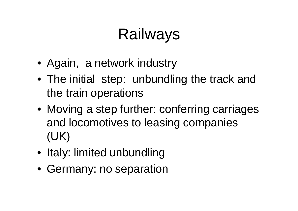## Railways

- Again, a network industry
- The initial step: unbundling the track and the train operations
- Moving a step further: conferring carriages and locomotives to leasing companies (UK)
- Italy: limited unbundling
- Germany: no separation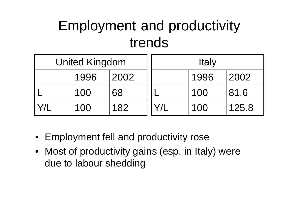### Employment and productivity trends

| <b>United Kingdom</b> |       |      | <b>Italy</b> |       |
|-----------------------|-------|------|--------------|-------|
|                       | 1996  | 2002 | 1996         | 2002  |
|                       | 100   | 68   | 100          | 81.6  |
|                       | 1()() | 182  | 100          | 125.8 |

- Employment fell and productivity rose
- Most of productivity gains (esp. in Italy) were due to labour shedding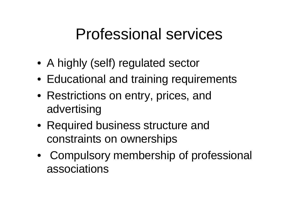## Professional services

- A highly (self) regulated sector
- Educational and training requirements
- Restrictions on entry, prices, and advertising
- Required business structure and constraints on ownerships
- Compulsory membership of professional associations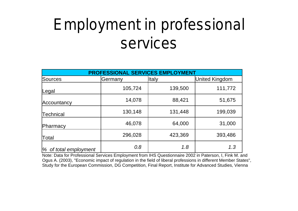## Employment in professional services

| <b>PROFESSIONAL SERVICES EMPLOYMENT</b> |         |              |                       |  |  |  |  |  |  |  |
|-----------------------------------------|---------|--------------|-----------------------|--|--|--|--|--|--|--|
| Sources                                 | Germany | <b>Italy</b> | <b>United Kingdom</b> |  |  |  |  |  |  |  |
| Leg <u>al</u>                           | 105,724 | 139,500      | 111,772               |  |  |  |  |  |  |  |
| Accountancy                             | 14,078  | 88,421       | 51,675                |  |  |  |  |  |  |  |
| Technical                               | 130,148 | 131,448      | 199,039               |  |  |  |  |  |  |  |
| Pharmacy                                | 46,078  | 64,000       | 31,000                |  |  |  |  |  |  |  |
| Total                                   | 296,028 | 423,369      | 393,486               |  |  |  |  |  |  |  |
| $\frac{1}{6}$ of total employment       | 0.8     | 1.8          | 1.3                   |  |  |  |  |  |  |  |

Note: Data for Professional Services Employment from IHS Questionnaire 2002 in Paterson, I, Fink M. and Ogus A. (2003), "Economic impact of regulation in the field of liberal professions in different Member States", Study for the European Commission, DG Competition, Final Report, Institute for Advanced Studies, Vienna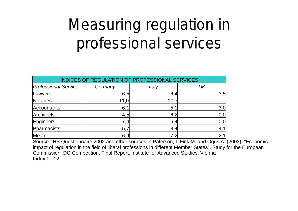## Measuring regulation in professional services

| INDICES OF REGULATION OF PROFESSIONAL SERVICES |         |       |      |  |  |  |  |  |  |  |
|------------------------------------------------|---------|-------|------|--|--|--|--|--|--|--|
| <b>Professional Service</b>                    | Germany | Italy | UK   |  |  |  |  |  |  |  |
| Lawyers                                        | 6,5     | 6,4   | 3,5  |  |  |  |  |  |  |  |
| <b>Notaries</b>                                | 11,0    | 10.   |      |  |  |  |  |  |  |  |
| <b>Accountants</b>                             | 6,      | 5,1   | 3,0  |  |  |  |  |  |  |  |
| <b>Architects</b>                              | 4,5     | 6,2   | 0,0  |  |  |  |  |  |  |  |
| Engineers                                      | 7,4     | 6,4   | 0, 0 |  |  |  |  |  |  |  |
| Pharmacists                                    | 5,7     | 8,4   | 4,1' |  |  |  |  |  |  |  |
| Mean                                           | 6,9     |       | 2,1  |  |  |  |  |  |  |  |

Source: IHS Questionnaire 2002 and other sources in Paterson, I, Fink M. and Ogus A. (2003), "Economic impact of regulation in the field of liberal professions in different Member States", Study for the European Commission, DG Competition, Final Report, Institute for Advanced Studies, Vienna Index 0 - 12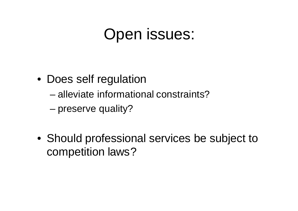### Open issues:

- Does self regulation
	- alleviate informational constraints?
	- preserve quality?
- Should professional services be subject to competition laws?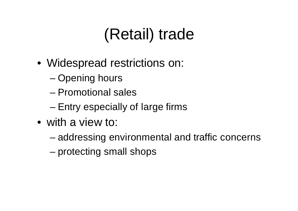# (Retail) trade

- Widespread restrictions on:
	- Opening hours
	- Promotional sales
	- Entry especially of large firms
- with a view to:
	- addressing environmental and traffic concerns
	- protecting small shops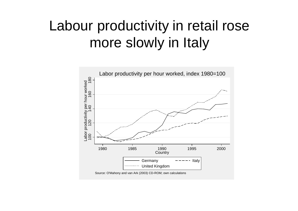### Labour productivity in retail rose more slowly in Italy

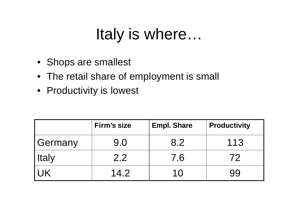## Italy is where…

- Shops are smallest
- The retail share of employment is small
- Productivity is lowest

|              | <b>Firm's size</b> | <b>Empl. Share</b> | <b>Productivity</b> |
|--------------|--------------------|--------------------|---------------------|
| Germany      | 9.0                | 8.2                | 113                 |
| <b>Italy</b> | 2.2                | 7.6                | 72                  |
| <b>IK</b>    | 14.2               | 1 <sub>0</sub>     | 99                  |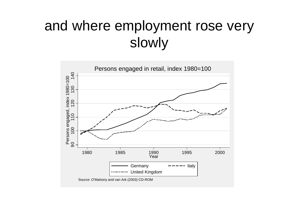### and where employment rose very slowly

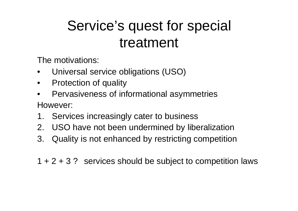### Service's quest for special treatment

The motivations:

- Universal service obligations (USO)
- Protection of quality
- Pervasiveness of informational asymmetries However:
- 1. Services increasingly cater to business
- 2. USO have not been undermined by liberalization
- 3. Quality is not enhanced by restricting competition

1 + 2 + 3 ? services should be subject to competition laws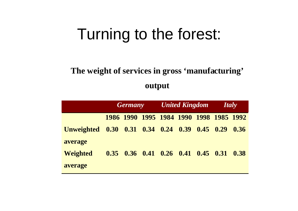## Turning to the forest:

#### **The weight of services in gross 'manufacturing' output**

|                                               | <b>Germany</b> |  |  | <b>United Kingdom</b> |                                                  |  | [Italy] |      |
|-----------------------------------------------|----------------|--|--|-----------------------|--------------------------------------------------|--|---------|------|
|                                               |                |  |  |                       | 1986 1990 1995 1984 1990 1998 1985 1992          |  |         |      |
| Unweighted 0.30 0.31 0.34 0.24 0.39 0.45 0.29 |                |  |  |                       |                                                  |  |         | 0.36 |
| average                                       |                |  |  |                       |                                                  |  |         |      |
| <b>Weighted</b>                               |                |  |  |                       | $0.35$ $0.36$ $0.41$ $0.26$ $0.41$ $0.45$ $0.31$ |  |         | 0.38 |
| average                                       |                |  |  |                       |                                                  |  |         |      |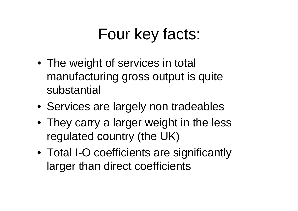## Four key facts:

- The weight of services in total manufacturing gross output is quite substantial
- Services are largely non tradeables
- They carry a larger weight in the less regulated country (the UK)
- Total I-O coefficients are significantly larger than direct coefficients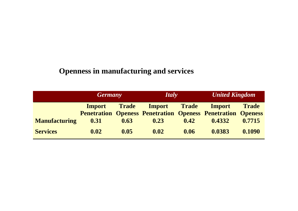#### **Openness in manufacturing and services**

|                      | <b>Germany</b> |              | <i>Italy</i>        |      | <b>United Kingdom</b>                                                               |              |
|----------------------|----------------|--------------|---------------------|------|-------------------------------------------------------------------------------------|--------------|
|                      | Import         | <b>Trade</b> | <b>Import</b> Trade |      | <b>Import</b><br><b>Penetration Openess Penetration Openess Penetration Openess</b> | <b>Trade</b> |
| <b>Manufacturing</b> | 0.31           | 0.63         | 0.23                | 0.42 | 0.4332                                                                              | 0.7715       |
| <b>Services</b>      | 0.02           | 0.05         | 0.02                | 0.06 | 0.0383                                                                              | 0.1090       |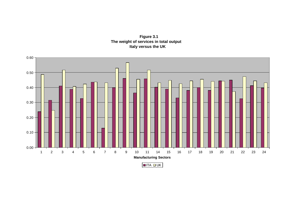**Figure 3.1 The weight of services in total output Italy versus the UK** 

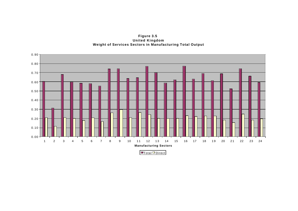**Figure 3.5 United Kingdom Weight of Services Sectors in Manufacturing Total Output** 

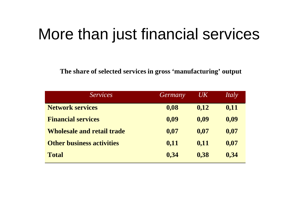## More than just financial services

**The share of selected services in gross 'manufacturing' output**

| <i>Services</i>                   | Germany | UK   | Italy |
|-----------------------------------|---------|------|-------|
| <b>Network services</b>           | 0,08    | 0,12 | 0,11  |
| <b>Financial services</b>         | 0,09    | 0,09 | 0,09  |
| <b>Wholesale and retail trade</b> | 0,07    | 0,07 | 0,07  |
| <b>Other business activities</b>  | 0,11    | 0,11 | 0,07  |
| <b>Total</b>                      | 0,34    | 0,38 | 0,34  |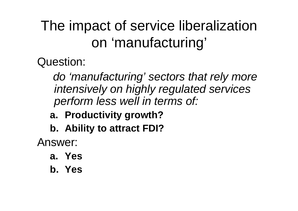The impact of service liberalization on 'manufacturing'

Question:

*do 'manufacturing' sectors that rely more intensively on highly regulated services perform less well in terms of:* 

- **a. Productivity growth?**
- **b. Ability to attract FDI?**

Answer:

**a. Yes**

#### **b. Yes**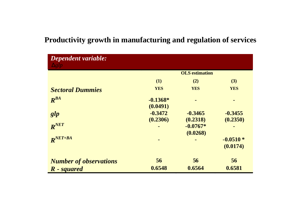#### **Productivity growth in manufacturing and regulation of services**

| Dependent variable:<br>$\Delta g l p$ |                        |                        |                        |
|---------------------------------------|------------------------|------------------------|------------------------|
|                                       |                        | <b>OLS</b> estimation  |                        |
|                                       | (1)                    | (2)                    | (3)                    |
| <b>Sectoral Dummies</b>               | <b>YES</b>             | <b>YES</b>             | <b>YES</b>             |
| $R^{BA}$                              | $-0.1368*$<br>(0.0491) |                        |                        |
| glp                                   | $-0.3472$<br>(0.2306)  | $-0.3465$<br>(0.2318)  | $-0.3455$<br>(0.2350)  |
| $R^{NET}$                             |                        | $-0.0767*$<br>(0.0268) |                        |
| $R^{NET+BA}$                          |                        |                        | $-0.0510*$<br>(0.0174) |
| <b>Number of observations</b>         | 56                     | 56                     | 56                     |
| R - squared                           | 0.6548                 | 0.6564                 | 0.6581                 |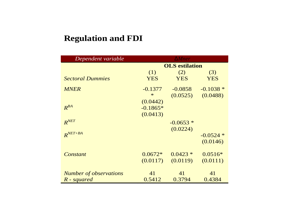#### **Regulation and FDI**

| Dependent variable            |                       | $\Delta$ <i>Mner</i> |             |
|-------------------------------|-----------------------|----------------------|-------------|
|                               | <b>OLS</b> estilation |                      |             |
|                               | (1)                   | (2)                  | (3)         |
| <b>Sectoral Dummies</b>       | <b>YES</b>            | <b>YES</b>           | <b>YES</b>  |
| <b>MNER</b>                   | $-0.1377$             | $-0.0858$            | $-0.1038*$  |
|                               | $*$                   | (0.0525)             | (0.0488)    |
|                               | (0.0442)              |                      |             |
| $R^{BA}$                      | $-0.1865*$            |                      |             |
|                               | (0.0413)              |                      |             |
| $R^{NET}$                     |                       | $-0.0653*$           |             |
|                               |                       | (0.0224)             |             |
| $R^{NET+BA}$                  |                       |                      | $-0.0524$ * |
|                               |                       |                      | (0.0146)    |
| Constant                      | $0.0672*$             | $0.0423*$            | $0.0516*$   |
|                               | (0.0117)              | (0.0119)             | (0.0111)    |
| <b>Number of observations</b> | 41                    | 41                   | 41          |
| $R$ - squared                 | 0.5412                | 0.3794               | 0.4384      |